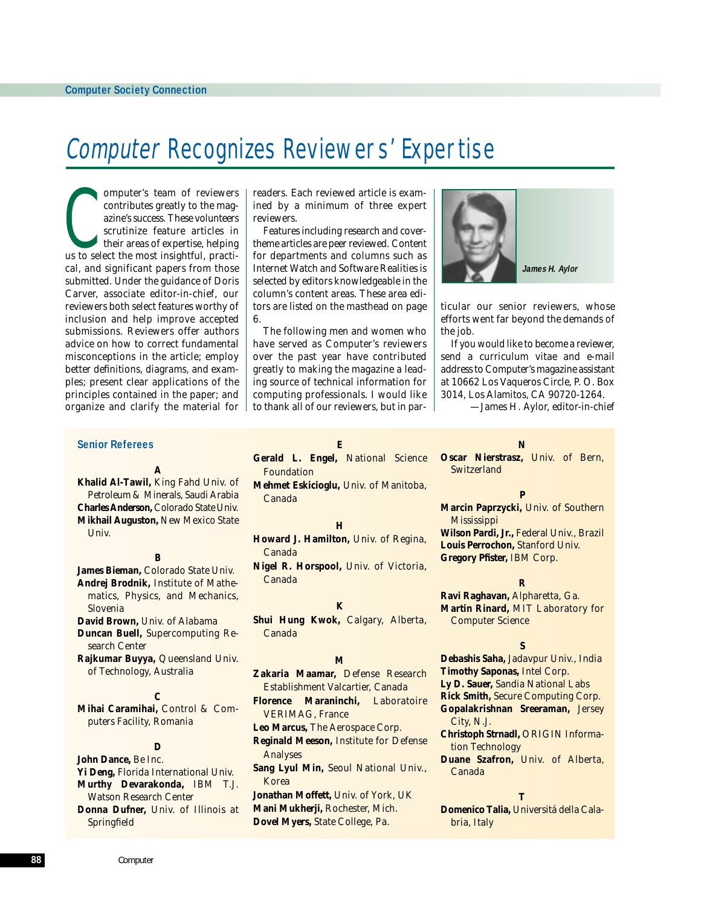# Computer Recognizes Reviewers' Expertise

omputer's team of reviewers<br>contributes greatly to the mag-<br>azine's success. These volunteers<br>scrutinize feature articles in<br>their areas of expertise, helping<br>us to select the most insightful, practi*omputer*'s team of reviewers contributes greatly to the magazine's success. These volunteers scrutinize feature articles in their areas of expertise, helping cal, and significant papers from those submitted. Under the guidance of Doris Carver, associate editor-in-chief, our reviewers both select features worthy of inclusion and help improve accepted submissions. Reviewers offer authors advice on how to correct fundamental misconceptions in the article; employ better definitions, diagrams, and examples; present clear applications of the principles contained in the paper; and organize and clarify the material for

readers. Each reviewed article is examined by a minimum of three expert reviewers.

Features including research and covertheme articles are peer reviewed. Content for departments and columns such as Internet Watch and Software Realities is selected by editors knowledgeable in the column's content areas. These area editors are listed on the masthead on page 6.

The following men and women who have served as *Computer*'s reviewers over the past year have contributed greatly to making the magazine a leading source of technical information for computing professionals. I would like to thank all of our reviewers, but in par**James H. Aylor**

ticular our senior reviewers, whose efforts went far beyond the demands of the job.

If you would like to become a reviewer, send a curriculum vitae and e-mail address to *Computer*'s magazine assistant at 10662 Los Vaqueros Circle, P. O. Box 3014, Los Alamitos, CA 90720-1264.

*—James H. Aylor, editor-in-chief*

#### **Senior Referees**

#### **A**

**Khalid Al-Tawil,** *King Fahd Univ. of Petroleum & Minerals, Saudi Arabia* **Charles Anderson,** *Colorado State Univ.* **Mikhail Auguston,** *New Mexico State Univ.*

### **B**

**James Bieman,** *Colorado State Univ.* **Andrej Brodnik,** *Institute of Mathematics, Physics, and Mechanics, Slovenia* **David Brown,** *Univ. of Alabama*

**Duncan Buell,** *Supercomputing Research Center*

**Rajkumar Buyya,** *Queensland Univ. of Technology, Australia*

### **C**

**Mihai Caramihai,** *Control & Computers Facility, Romania*

#### **D**

**John Dance,** *Be Inc.* **Yi Deng,** *Florida International Univ.* **Murthy Devarakonda,** *IBM T.J. Watson Research Center* **Donna Dufner,** *Univ. of Illinois at Springfield*

**E Gerald L. Engel,** *National Science Foundation*

**Mehmet Eskicioglu,** *Univ. of Manitoba, Canada*

#### **H**

**Howard J. Hamilton,** *Univ. of Regina, Canada*

**Nigel R. Horspool,** *Univ. of Victoria, Canada*

#### **K**

**Shui Hung Kwok,** *Calgary, Alberta, Canada*

#### **M**

**Zakaria Maamar,** *Defense Research Establishment Valcartier, Canada* **Florence Maraninchi,** *Laboratoire VERIMAG, France* **Leo Marcus,** *The Aerospace Corp.* **Reginald Meeson,** *Institute for Defense Analyses* **Sang Lyul Min,** *Seoul National Univ., Korea* **Jonathan Moffett,** *Univ. of York, UK* **Mani Mukherji,** *Rochester, Mich.*

**Dovel Myers,** *State College, Pa.*

**N Oscar Nierstrasz,** *Univ. of Bern, Switzerland*

#### **P**

**Marcin Paprzycki,** *Univ. of Southern Mississippi* **Wilson Pardi, Jr.,** *Federal Univ., Brazil* **Louis Perrochon,** *Stanford Univ.* **Gregory Pfister,** *IBM Corp.*

#### **R**

**Ravi Raghavan,** *Alpharetta, Ga.* **Martin Rinard,** *MIT Laboratory for Computer Science*

**S Debashis Saha,** *Jadavpur Univ., India*

**Timothy Saponas,** *Intel Corp.*

**Ly D. Sauer,** *Sandia National Labs*

- **Rick Smith,** *Secure Computing Corp.* **Gopalakrishnan Sreeraman,** *Jersey*
	- *City, N.J.*

**Christoph Strnadl,** *ORIGIN Information Technology*

**Duane Szafron,** *Univ. of Alberta, Canada*

#### **T**

**Domenico Talia,** *Universitá della Calabria, Italy*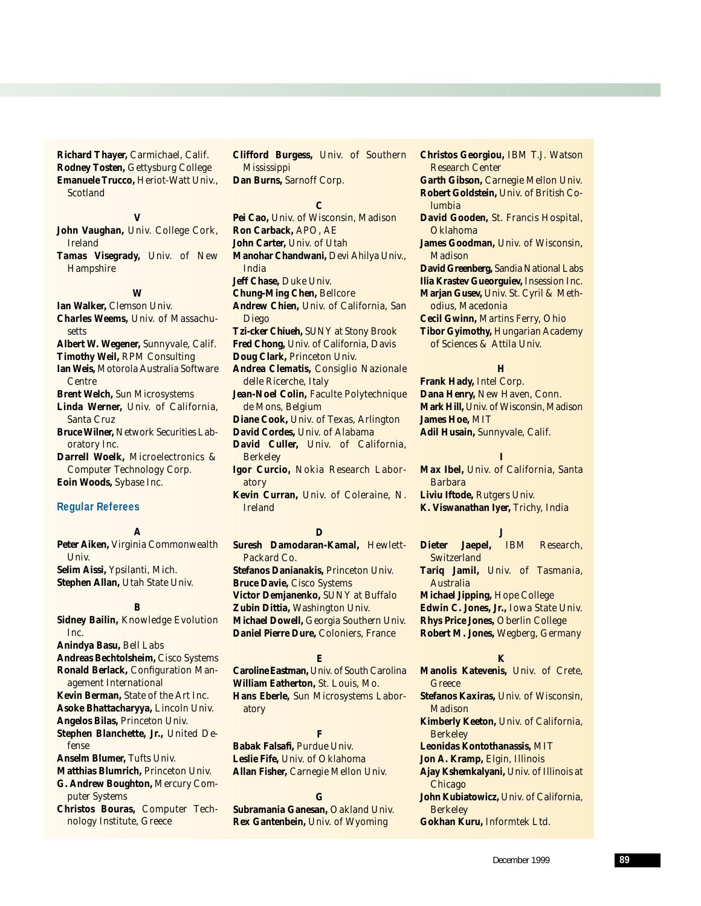**Richard Thayer,** *Carmichael, Calif.* **Rodney Tosten,** *Gettysburg College* **Emanuele Trucco,** *Heriot-Watt Univ., Scotland*

**V John Vaughan,** *Univ. College Cork, Ireland*

**Tamas Visegrady,** *Univ. of New Hampshire*

#### **W**

**Ian Walker,** *Clemson Univ.* **Charles Weems,** *Univ. of Massachusetts* **Albert W. Wegener,** *Sunnyvale, Calif.* **Timothy Weil,** *RPM Consulting* **Ian Weis,** *Motorola Australia Software Centre* **Brent Welch,** *Sun Microsystems* **Linda Werner,** *Univ. of California, Santa Cruz* **Bruce Wilner,** *Network Securities Laboratory Inc.* **Darrell Woelk,** *Microelectronics & Computer Technology Corp.*

## **Eoin Woods,** *Sybase Inc.*

#### **Regular Referees**

#### **A**

**Peter Aiken,** *Virginia Commonwealth Univ.* **Selim Aissi,** *Ypsilanti, Mich.* **Stephen Allan,** *Utah State Univ.*

#### **B**

**Sidney Bailin,** *Knowledge Evolution Inc.* **Anindya Basu,** *Bell Labs* **Andreas Bechtolsheim,** *Cisco Systems* **Ronald Berlack,** *Configuration Management International* **Kevin Berman,** *State of the Art Inc.* **Asoke Bhattacharyya,** *Lincoln Univ.* **Angelos Bilas,** *Princeton Univ.* **Stephen Blanchette, Jr.,** *United Defense* **Anselm Blumer,** *Tufts Univ.* **Matthias Blumrich,** *Princeton Univ.* **G. Andrew Boughton,** *Mercury Computer Systems* **Christos Bouras,** *Computer Tech-*

*nology Institute, Greece*

**Clifford Burgess,** *Univ. of Southern Mississippi* **Dan Burns,** *Sarnoff Corp.*

#### **C**

**Pei Cao,** *Univ. of Wisconsin, Madison* **Ron Carback,** *APO, AE* **John Carter,** *Univ. of Utah* **Manohar Chandwani,** *Devi Ahilya Univ., India* **Jeff Chase,** *Duke Univ.* **Chung-Ming Chen,** *Bellcore* **Andrew Chien,** *Univ. of California, San Diego* **Tzi-cker Chiueh,** *SUNY at Stony Brook* **Fred Chong,** *Univ. of California, Davis* **Doug Clark,** *Princeton Univ.* **Andrea Clematis,** *Consiglio Nazionale delle Ricerche, Italy* **Jean-Noel Colin,** *Faculte Polytechnique de Mons, Belgium* **Diane Cook,** *Univ. of Texas, Arlington* **David Cordes,** *Univ. of Alabama* **David Culler,** *Univ. of California, Berkeley* **Igor Curcio,** *Nokia Research Laboratory* **Kevin Curran,** *Univ. of Coleraine, N. Ireland*

#### **D**

**Suresh Damodaran-Kamal,** *Hewlett-Packard Co.* **Stefanos Danianakis,** *Princeton Univ.* **Bruce Davie,** *Cisco Systems* **Victor Demjanenko,** *SUNY at Buffalo* **Zubin Dittia,** *Washington Univ.* **Michael Dowell,** *Georgia Southern Univ.* **Daniel Pierre Dure,** *Coloniers, France*

#### **E**

**Caroline Eastman,** *Univ. of South Carolina* **William Eatherton,** *St. Louis, Mo.* **Hans Eberle,** *Sun Microsystems Laboratory*

#### **F**

**Babak Falsafi,** *Purdue Univ.* **Leslie Fife,** *Univ. of Oklahoma* **Allan Fisher,** *Carnegie Mellon Univ.*

#### **G**

**Subramania Ganesan,** *Oakland Univ.* **Rex Gantenbein,** *Univ. of Wyoming*

**Christos Georgiou,** *IBM T.J. Watson Research Center* **Garth Gibson,** *Carnegie Mellon Univ.* **Robert Goldstein,** *Univ. of British Columbia* **David Gooden,** *St. Francis Hospital, Oklahoma* **James Goodman,** *Univ. of Wisconsin, Madison* **David Greenberg,** *Sandia National Labs* **Ilia Krastev Gueorguiev,** *Insession Inc.* **Marjan Gusev,** *Univ. St. Cyril & Methodius, Macedonia* **Cecil Gwinn,** *Martins Ferry, Ohio* **Tibor Gyimothy,** *Hungarian Academy of Sciences & Attila Univ.*

#### **H**

**Frank Hady,** *Intel Corp.* **Dana Henry,** *New Haven, Conn.* **Mark Hill,** *Univ. of Wisconsin, Madison* **James Hoe,** *MIT* **Adil Husain,** *Sunnyvale, Calif.*

#### **I**

**Max Ibel,** *Univ. of California, Santa Barbara* **Liviu Iftode,** *Rutgers Univ.* **K. Viswanathan Iyer,** *Trichy, India*

#### **J**

**Dieter Jaepel,** *IBM Research, Switzerland* **Tariq Jamil,** *Univ. of Tasmania, Australia* **Michael Jipping,** *Hope College*

**Edwin C. Jones, Jr.,** *Iowa State Univ.* **Rhys Price Jones,** *Oberlin College* **Robert M. Jones,** *Wegberg, Germany*

### **K**

**Manolis Katevenis,** *Univ. of Crete, Greece*

- **Stefanos Kaxiras,** *Univ. of Wisconsin, Madison*
- **Kimberly Keeton,** *Univ. of California, Berkeley*

**Leonidas Kontothanassis,** *MIT*

**Jon A. Kramp,** *Elgin, Illinois*

- **Ajay Kshemkalyani,** *Univ. of Illinois at Chicago*
- **John Kubiatowicz,** *Univ. of California, Berkeley*

**Gokhan Kuru,** *Informtek Ltd.*